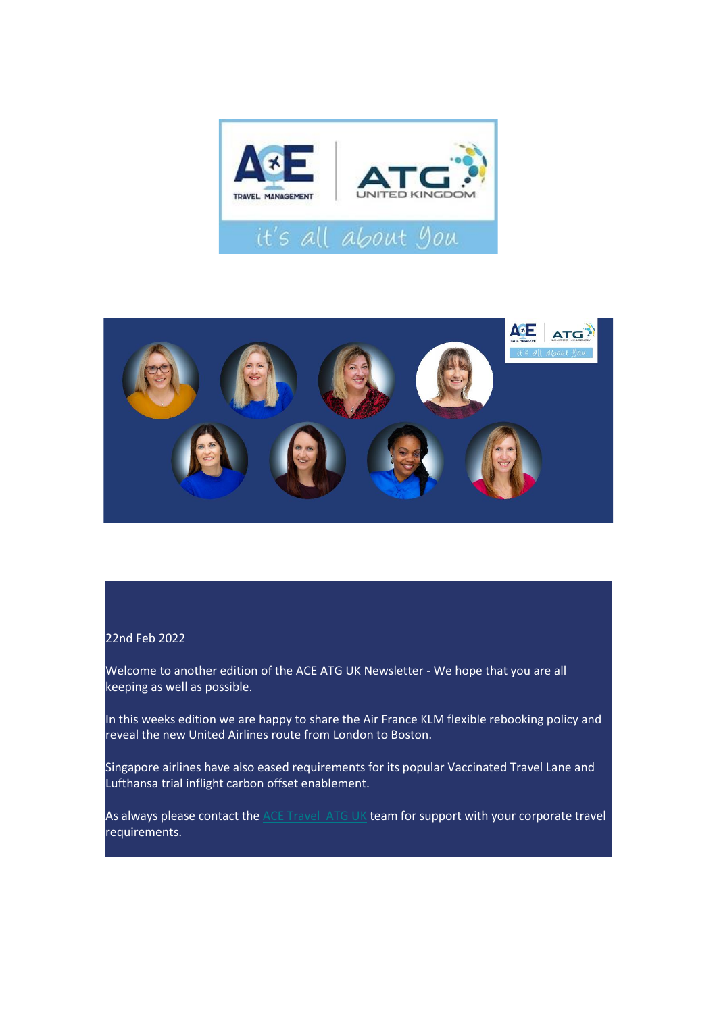



#### 22nd Feb 2022

Welcome to another edition of the ACE ATG UK Newsletter - We hope that you are all keeping as well as possible.

In this weeks edition we are happy to share the Air France KLM flexible rebooking policy and reveal the new United Airlines route from London to Boston.

Singapore airlines have also eased requirements for its popular Vaccinated Travel Lane and Lufthansa trial inflight carbon offset enablement.

As always please contact the **ACE Travel ATG UK** team for support with your corporate travel requirements.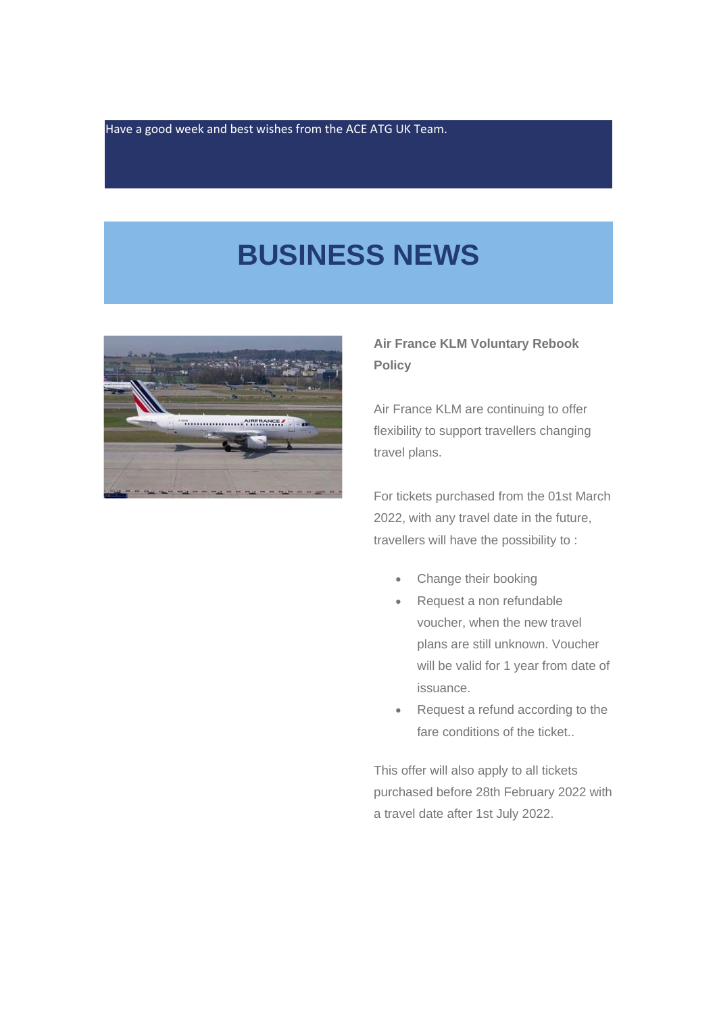Have a good week and best wishes from the ACE ATG UK Team.

## **BUSINESS NEWS**



### **Air France KLM Voluntary Rebook Policy**

Air France KLM are continuing to offer flexibility to support travellers changing travel plans.

For tickets purchased from the 01st March 2022, with any travel date in the future, travellers will have the possibility to :

- Change their booking
- Request a non refundable voucher, when the new travel plans are still unknown. Voucher will be valid for 1 year from date of issuance.
- Request a refund according to the fare conditions of the ticket..

This offer will also apply to all tickets purchased before 28th February 2022 with a travel date after 1st July 2022.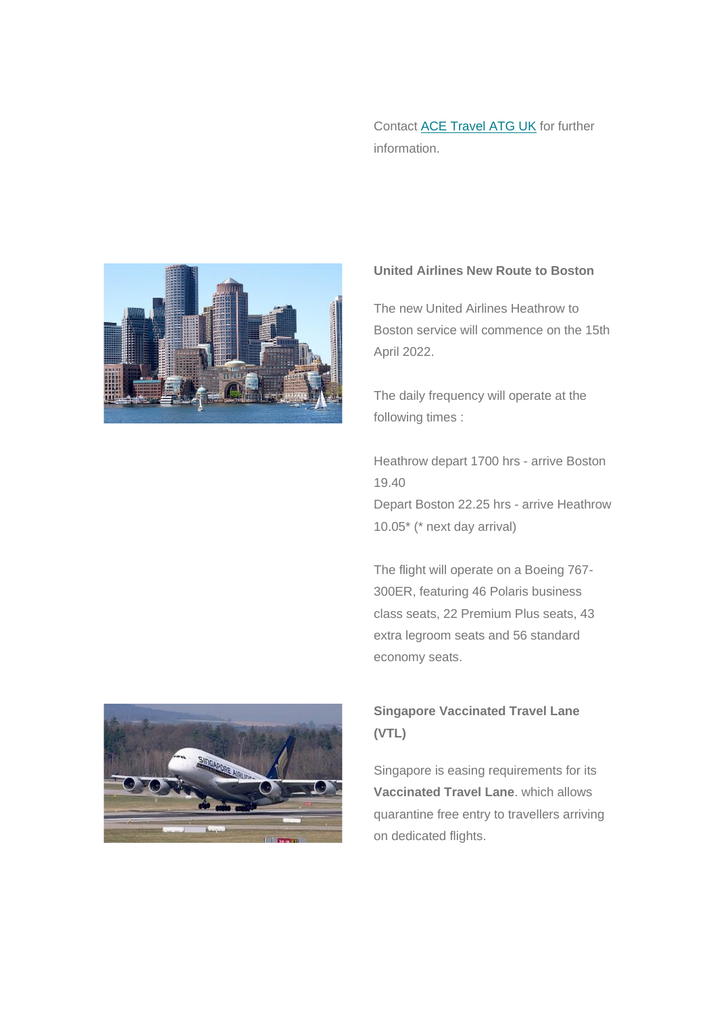Contact [ACE Travel ATG UK](https://www.acetravel.co.uk/contact-us) for further information.



### **United Airlines New Route to Boston**

The new United Airlines Heathrow to Boston service will commence on the 15th April 2022.

The daily frequency will operate at the following times :

Heathrow depart 1700 hrs - arrive Boston 19.40

Depart Boston 22.25 hrs - arrive Heathrow 10.05\* (\* next day arrival)

The flight will operate on a Boeing 767- 300ER, featuring 46 Polaris business class seats, 22 Premium Plus seats, 43 extra legroom seats and 56 standard economy seats.



## **Singapore Vaccinated Travel Lane (VTL)**

Singapore is easing requirements for its **Vaccinated Travel Lane**. which allows quarantine free entry to travellers arriving on dedicated flights.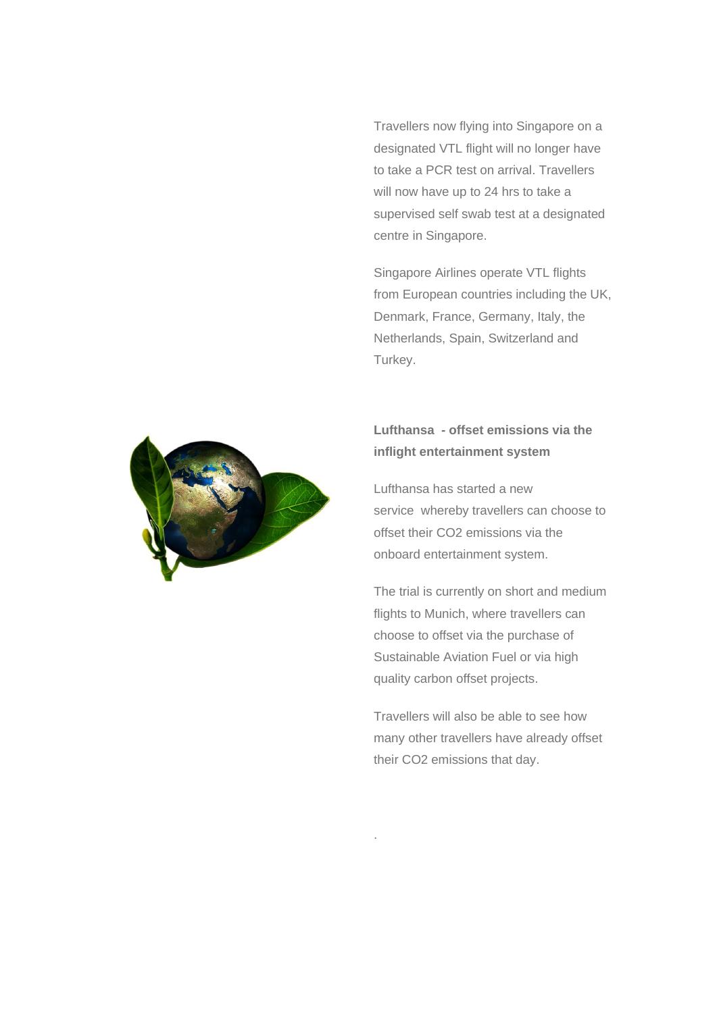Travellers now flying into Singapore on a designated VTL flight will no longer have to take a PCR test on arrival. Travellers will now have up to 24 hrs to take a supervised self swab test at a designated centre in Singapore.

Singapore Airlines operate VTL flights from European countries including the UK, Denmark, France, Germany, Italy, the Netherlands, Spain, Switzerland and Turkey.



## **Lufthansa - offset emissions via the inflight entertainment system**

Lufthansa has started a new service whereby travellers can choose to offset their CO2 emissions via the onboard entertainment system.

The trial is currently on short and medium flights to Munich, where travellers can choose to offset via the purchase of Sustainable Aviation Fuel or via high quality carbon offset projects.

Travellers will also be able to see how many other travellers have already offset their CO2 emissions that day.

.